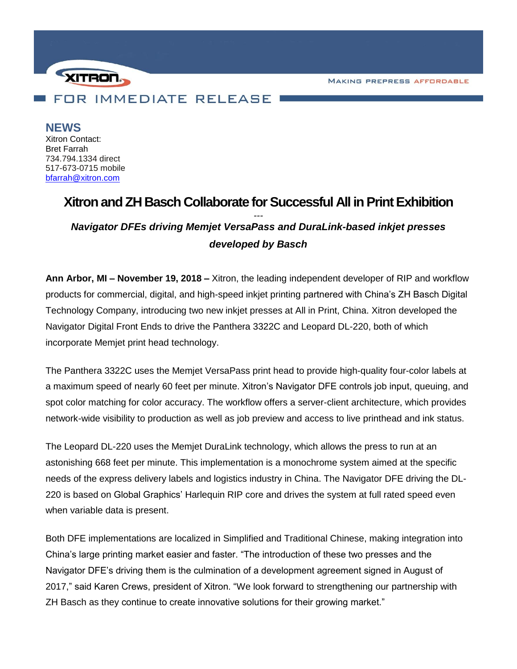**MAKING PREPRESS AFFORDABLE** 



**NEWS** Xitron Contact: Bret Farrah 734.794.1334 direct 517-673-0715 mobile [bfarrah@xitron.com](mailto:bfarrah@xitron.com)

## **Xitron and ZH Basch Collaborate for Successful All in Print Exhibition** *--- Navigator DFEs driving Memjet VersaPass and DuraLink-based inkjet presses developed by Basch*

**Ann Arbor, MI – November 19, 2018 –** Xitron, the leading independent developer of RIP and workflow products for commercial, digital, and high-speed inkjet printing partnered with China's ZH Basch Digital Technology Company, introducing two new inkjet presses at All in Print, China. Xitron developed the Navigator Digital Front Ends to drive the Panthera 3322C and Leopard DL-220, both of which incorporate Memjet print head technology.

The Panthera 3322C uses the Memjet VersaPass print head to provide high-quality four-color labels at a maximum speed of nearly 60 feet per minute. Xitron's Navigator DFE controls job input, queuing, and spot color matching for color accuracy. The workflow offers a server-client architecture, which provides network-wide visibility to production as well as job preview and access to live printhead and ink status.

The Leopard DL-220 uses the Memjet DuraLink technology, which allows the press to run at an astonishing 668 feet per minute. This implementation is a monochrome system aimed at the specific needs of the express delivery labels and logistics industry in China. The Navigator DFE driving the DL-220 is based on Global Graphics' Harlequin RIP core and drives the system at full rated speed even when variable data is present.

Both DFE implementations are localized in Simplified and Traditional Chinese, making integration into China's large printing market easier and faster. "The introduction of these two presses and the Navigator DFE's driving them is the culmination of a development agreement signed in August of 2017," said Karen Crews, president of Xitron. "We look forward to strengthening our partnership with ZH Basch as they continue to create innovative solutions for their growing market."